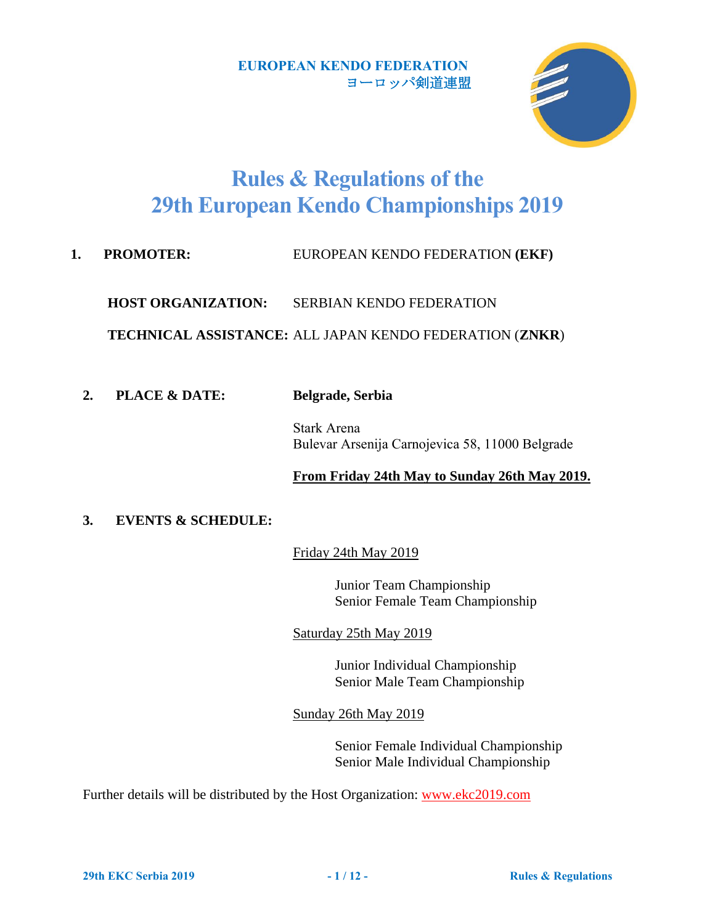

# **Rules & Regulations of the 29th European Kendo Championships 2019**

**1. PROMOTER:** EUROPEAN KENDO FEDERATION **(EKF)** 

**HOST ORGANIZATION:** SERBIAN KENDO FEDERATION

**TECHNICAL ASSISTANCE:** ALL JAPAN KENDO FEDERATION (**ZNKR**)

**2. PLACE & DATE: Belgrade, Serbia**

Stark Arena Bulevar Arsenija Carnojevica 58, 11000 Belgrade

#### **From Friday 24th May to Sunday 26th May 2019.**

## **3. EVENTS & SCHEDULE:**

Friday 24th May 2019

Junior Team Championship Senior Female Team Championship

Saturday 25th May 2019

Junior Individual Championship Senior Male Team Championship

Sunday 26th May 2019

Senior Female Individual Championship Senior Male Individual Championship

Further details will be distributed by the Host Organization: [www.ekc2019.com](http://www.ekc2019.com/)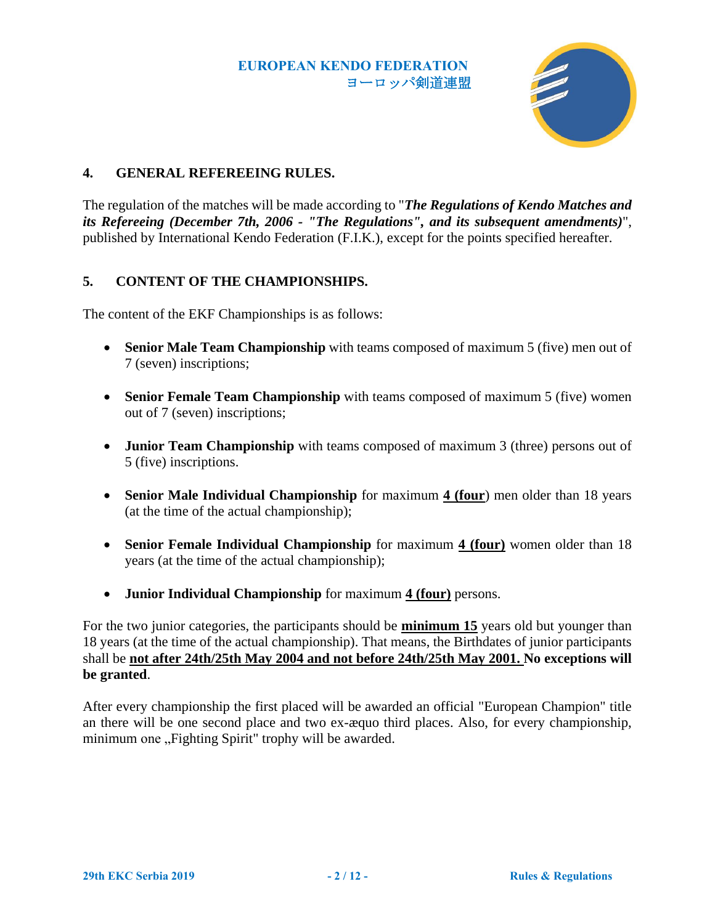

## **4. GENERAL REFEREEING RULES.**

The regulation of the matches will be made according to "*The Regulations of Kendo Matches and its Refereeing (December 7th, 2006 - "The Regulations", and its subsequent amendments)*", published by International Kendo Federation (F.I.K.), except for the points specified hereafter.

## <span id="page-1-0"></span>**5. CONTENT OF THE CHAMPIONSHIPS.**

The content of the EKF Championships is as follows:

- **Senior Male Team Championship** with teams composed of maximum 5 (five) men out of 7 (seven) inscriptions;
- **Senior Female Team Championship** with teams composed of maximum 5 (five) women out of 7 (seven) inscriptions;
- **Junior Team Championship** with teams composed of maximum 3 (three) persons out of 5 (five) inscriptions.
- **Senior Male Individual Championship** for maximum **4 (four**) men older than 18 years (at the time of the actual championship);
- **Senior Female Individual Championship** for maximum **4 (four)** women older than 18 years (at the time of the actual championship);
- **Junior Individual Championship** for maximum **4 (four)** persons.

For the two junior categories, the participants should be **minimum 15** years old but younger than 18 years (at the time of the actual championship). That means, the Birthdates of junior participants shall be **not after 24th/25th May 2004 and not before 24th/25th May 2001. No exceptions will be granted**.

After every championship the first placed will be awarded an official "European Champion" title an there will be one second place and two ex-æquo third places. Also, for every championship, minimum one "Fighting Spirit" trophy will be awarded.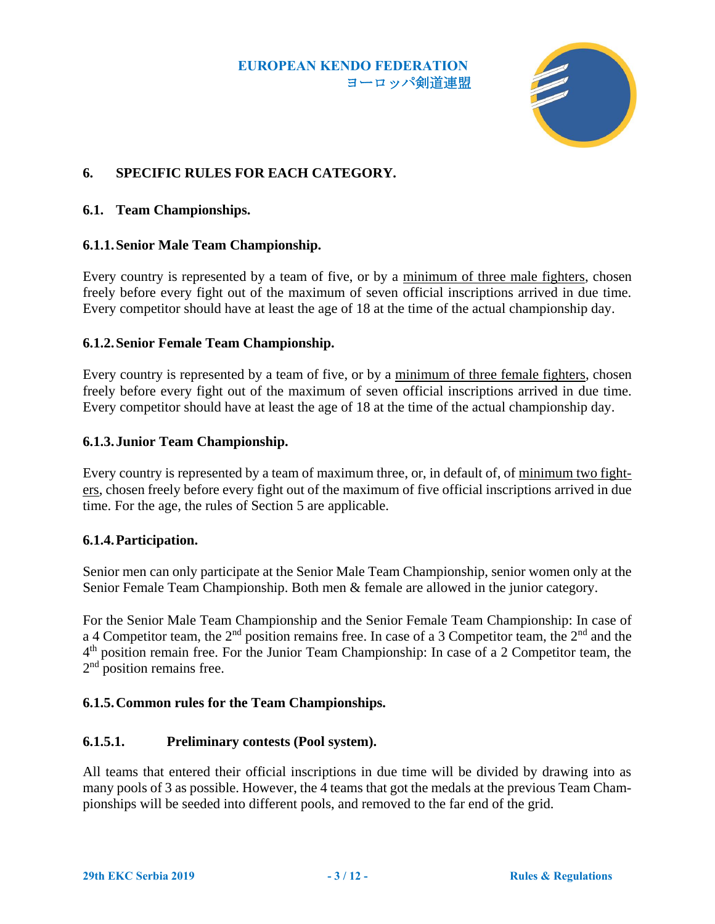

# **6. SPECIFIC RULES FOR EACH CATEGORY.**

#### **6.1. Team Championships.**

#### **6.1.1.Senior Male Team Championship.**

Every country is represented by a team of five, or by a minimum of three male fighters, chosen freely before every fight out of the maximum of seven official inscriptions arrived in due time. Every competitor should have at least the age of 18 at the time of the actual championship day.

#### **6.1.2.Senior Female Team Championship.**

Every country is represented by a team of five, or by a minimum of three female fighters, chosen freely before every fight out of the maximum of seven official inscriptions arrived in due time. Every competitor should have at least the age of 18 at the time of the actual championship day.

#### **6.1.3.Junior Team Championship.**

Every country is represented by a team of maximum three, or, in default of, of minimum two fighters, chosen freely before every fight out of the maximum of five official inscriptions arrived in due time. For the age, the rules of Section [5](#page-1-0) are applicable.

#### <span id="page-2-0"></span>**6.1.4.Participation.**

Senior men can only participate at the Senior Male Team Championship, senior women only at the Senior Female Team Championship. Both men & female are allowed in the junior category.

For the Senior Male Team Championship and the Senior Female Team Championship: In case of a 4 Competitor team, the 2<sup>nd</sup> position remains free. In case of a 3 Competitor team, the 2<sup>nd</sup> and the 4<sup>th</sup> position remain free. For the Junior Team Championship: In case of a 2 Competitor team, the 2<sup>nd</sup> position remains free.

#### **6.1.5.Common rules for the Team Championships.**

#### **6.1.5.1. Preliminary contests (Pool system).**

All teams that entered their official inscriptions in due time will be divided by drawing into as many pools of 3 as possible. However, the 4 teams that got the medals at the previous Team Championships will be seeded into different pools, and removed to the far end of the grid.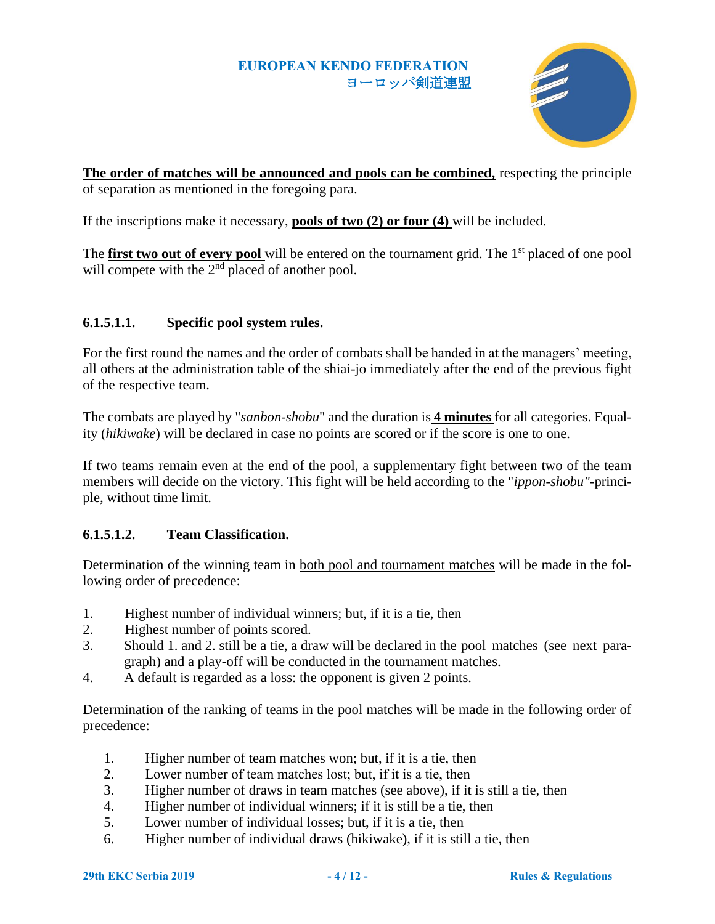

**The order of matches will be announced and pools can be combined,** respecting the principle of separation as mentioned in the foregoing para.

If the inscriptions make it necessary, **pools of two (2) or four (4)** will be included.

The **first two out of every pool** will be entered on the tournament grid. The 1<sup>st</sup> placed of one pool will compete with the 2<sup>nd</sup> placed of another pool.

## **6.1.5.1.1. Specific pool system rules.**

For the first round the names and the order of combats shall be handed in at the managers' meeting, all others at the administration table of the shiai-jo immediately after the end of the previous fight of the respective team.

The combats are played by "*sanbon-shobu*" and the duration is **4 minutes** for all categories. Equality (*hikiwake*) will be declared in case no points are scored or if the score is one to one.

If two teams remain even at the end of the pool, a supplementary fight between two of the team members will decide on the victory. This fight will be held according to the "*ippon-shobu"*-principle, without time limit.

## **6.1.5.1.2. Team Classification.**

Determination of the winning team in both pool and tournament matches will be made in the following order of precedence:

- 1. Highest number of individual winners; but, if it is a tie, then
- 2. Highest number of points scored.
- 3. Should 1. and 2. still be a tie, a draw will be declared in the pool matches (see next paragraph) and a play-off will be conducted in the tournament matches.
- 4. A default is regarded as a loss: the opponent is given 2 points.

Determination of the ranking of teams in the pool matches will be made in the following order of precedence:

- 1. Higher number of team matches won; but, if it is a tie, then
- 2. Lower number of team matches lost; but, if it is a tie, then
- 3. Higher number of draws in team matches (see above), if it is still a tie, then
- 4. Higher number of individual winners; if it is still be a tie, then
- 5. Lower number of individual losses; but, if it is a tie, then
- 6. Higher number of individual draws (hikiwake), if it is still a tie, then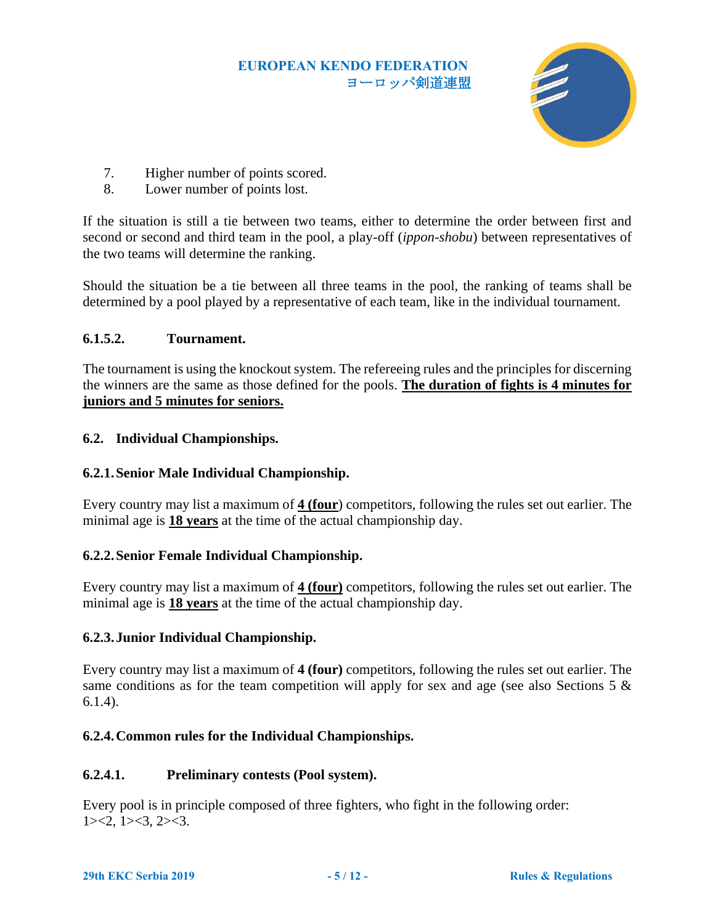

- 7. Higher number of points scored.
- 8. Lower number of points lost.

If the situation is still a tie between two teams, either to determine the order between first and second or second and third team in the pool, a play-off (*ippon-shobu*) between representatives of the two teams will determine the ranking.

Should the situation be a tie between all three teams in the pool, the ranking of teams shall be determined by a pool played by a representative of each team, like in the individual tournament.

## **6.1.5.2. Tournament.**

The tournament is using the knockout system. The refereeing rules and the principles for discerning the winners are the same as those defined for the pools. **The duration of fights is 4 minutes for juniors and 5 minutes for seniors.**

## **6.2. Individual Championships.**

## **6.2.1.Senior Male Individual Championship.**

Every country may list a maximum of **4 (four**) competitors, following the rules set out earlier. The minimal age is **18 years** at the time of the actual championship day.

## **6.2.2.Senior Female Individual Championship.**

Every country may list a maximum of **4 (four)** competitors, following the rules set out earlier. The minimal age is **18 years** at the time of the actual championship day.

#### **6.2.3.Junior Individual Championship.**

Every country may list a maximum of **4 (four)** competitors, following the rules set out earlier. The same conditions as for the team competition will apply for sex and age (see also Sections [5](#page-1-0)  $\&$ [6.1.4\)](#page-2-0).

## **6.2.4.Common rules for the Individual Championships.**

#### **6.2.4.1. Preliminary contests (Pool system).**

Every pool is in principle composed of three fighters, who fight in the following order:  $1 \times 2, 1 \times 3, 2 \times 3.$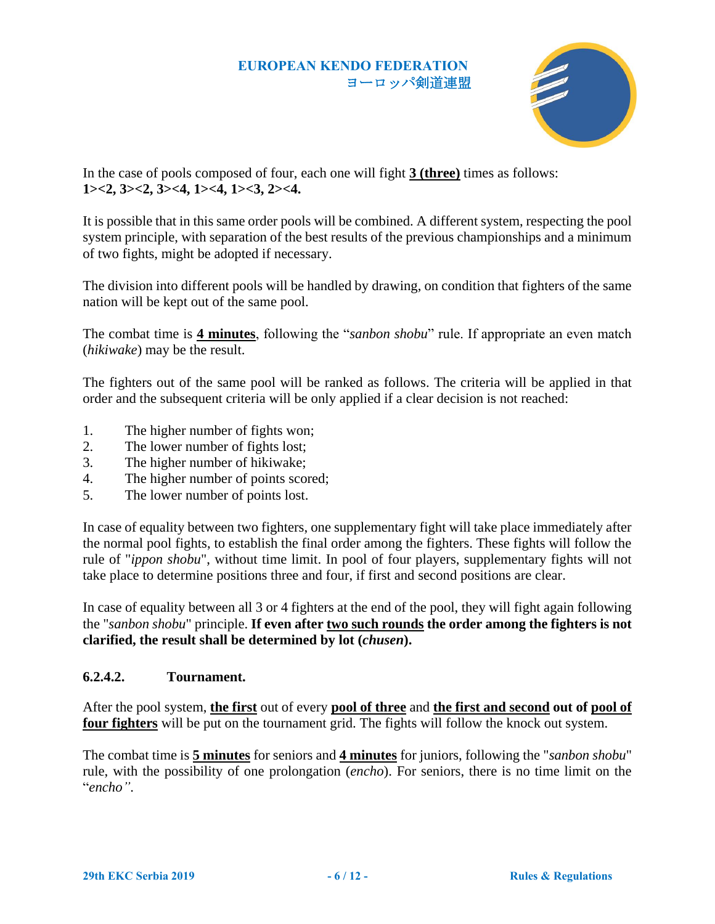

In the case of pools composed of four, each one will fight **3 (three)** times as follows: **1><2, 3><2, 3><4, 1><4, 1><3, 2><4.**

It is possible that in this same order pools will be combined. A different system, respecting the pool system principle, with separation of the best results of the previous championships and a minimum of two fights, might be adopted if necessary.

The division into different pools will be handled by drawing, on condition that fighters of the same nation will be kept out of the same pool.

The combat time is **4 minutes**, following the "*sanbon shobu*" rule. If appropriate an even match (*hikiwake*) may be the result.

The fighters out of the same pool will be ranked as follows. The criteria will be applied in that order and the subsequent criteria will be only applied if a clear decision is not reached:

- 1. The higher number of fights won;
- 2. The lower number of fights lost;
- 3. The higher number of hikiwake;
- 4. The higher number of points scored;
- 5. The lower number of points lost.

In case of equality between two fighters, one supplementary fight will take place immediately after the normal pool fights, to establish the final order among the fighters. These fights will follow the rule of "*ippon shobu*", without time limit. In pool of four players, supplementary fights will not take place to determine positions three and four, if first and second positions are clear.

In case of equality between all 3 or 4 fighters at the end of the pool, they will fight again following the "*sanbon shobu*" principle. **If even after two such rounds the order among the fighters is not clarified, the result shall be determined by lot (***chusen***).**

#### **6.2.4.2. Tournament.**

After the pool system, **the first** out of every **pool of three** and **the first and second out of pool of four fighters** will be put on the tournament grid. The fights will follow the knock out system.

The combat time is **5 minutes** for seniors and **4 minutes** for juniors, following the "*sanbon shobu*" rule, with the possibility of one prolongation (*encho*). For seniors, there is no time limit on the "*encho"*.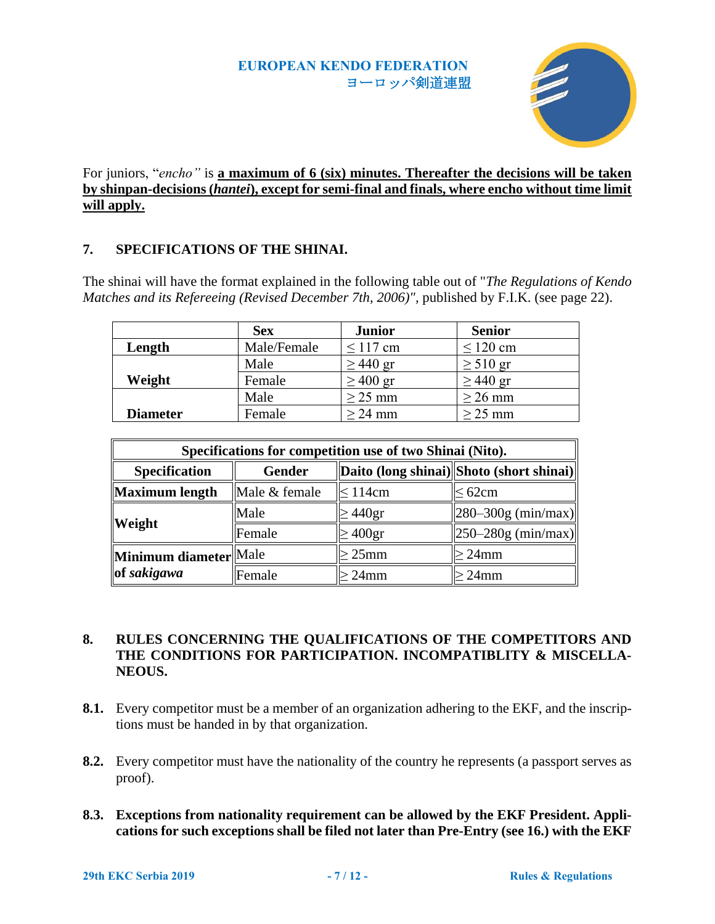

## For juniors, "*encho"* is **a maximum of 6 (six) minutes. Thereafter the decisions will be taken by shinpan-decisions (***hantei***), except for semi-final and finals, where encho without time limit will apply.**

## **7. SPECIFICATIONS OF THE SHINAI.**

The shinai will have the format explained in the following table out of "*The Regulations of Kendo Matches and its Refereeing (Revised December 7th, 2006)",* published by F.I.K. (see page 22).

|                 | <b>Sex</b>  | <b>Junior</b> | <b>Senior</b> |
|-----------------|-------------|---------------|---------------|
| Length          | Male/Female | $\leq$ 117 cm | $\leq$ 120 cm |
|                 | Male        | $\geq$ 440 gr | $\geq 510$ gr |
| Weight          | Female      | $\geq 400$ gr | $\geq$ 440 gr |
|                 | Male        | $\geq$ 25 mm  | $\geq$ 26 mm  |
| <b>Diameter</b> | Female      | $\geq$ 24 mm  | $\geq$ 25 mm  |

| Specifications for competition use of two Shinai (Nito). |               |               |                                          |  |
|----------------------------------------------------------|---------------|---------------|------------------------------------------|--|
| <b>Specification</b>                                     | <b>Gender</b> |               | Daito (long shinai) Shoto (short shinai) |  |
| Maximum length                                           | Male & female | $\leq 114$ cm | $\leq 62$ cm                             |  |
| <b>Weight</b>                                            | Male          | $\geq$ 440gr  | $\ 280 - 300g \ (min/max) \ $            |  |
|                                                          | Female        | $\geq 400$ gr | $\ 250 - 280g \ (min/max) \ $            |  |
| Minimum diameter Male<br>of sakigawa                     |               | $>25$ mm      | $>24$ mm                                 |  |
|                                                          | Female        | $>24$ mm      | $>24$ mm                                 |  |

## **8. RULES CONCERNING THE QUALIFICATIONS OF THE COMPETITORS AND THE CONDITIONS FOR PARTICIPATION. INCOMPATIBLITY & MISCELLA-NEOUS.**

- **8.1.** Every competitor must be a member of an organization adhering to the EKF, and the inscriptions must be handed in by that organization.
- **8.2.** Every competitor must have the nationality of the country he represents (a passport serves as proof).
- **8.3. Exceptions from nationality requirement can be allowed by the EKF President. Applications for such exceptions shall be filed not later than Pre-Entry (see [16.](#page-10-0)) with the EKF**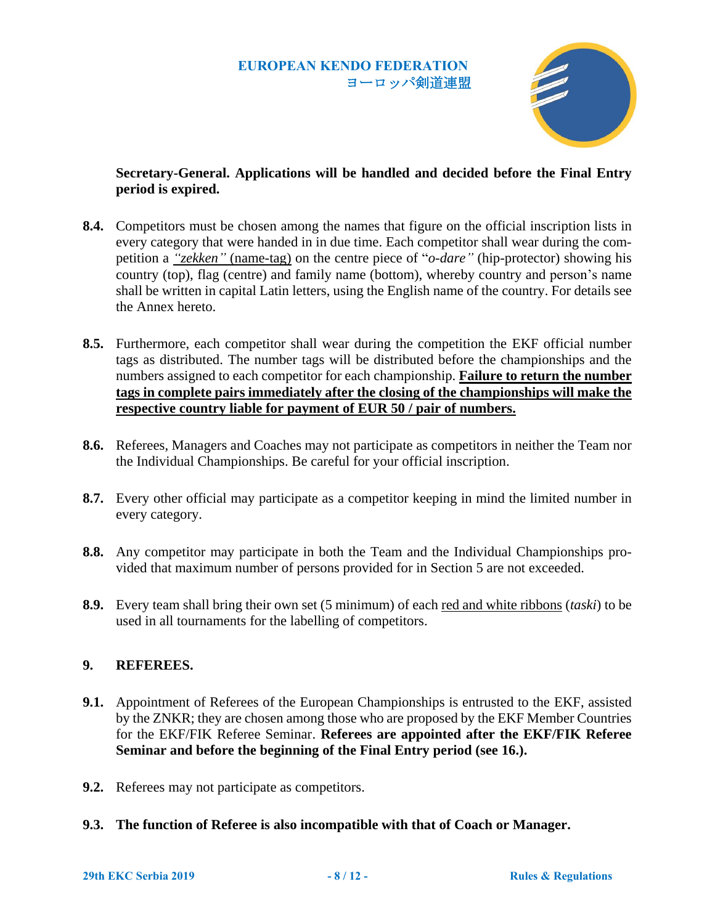

## **Secretary-General. Applications will be handled and decided before the Final Entry period is expired.**

- **8.4.** Competitors must be chosen among the names that figure on the official inscription lists in every category that were handed in in due time. Each competitor shall wear during the competition a *"zekken"* (name-tag) on the centre piece of "*o-dare"* (hip-protector) showing his country (top), flag (centre) and family name (bottom), whereby country and person's name shall be written in capital Latin letters, using the English name of the country. For details see the Annex hereto.
- **8.5.** Furthermore, each competitor shall wear during the competition the EKF official number tags as distributed. The number tags will be distributed before the championships and the numbers assigned to each competitor for each championship. **Failure to return the number tags in complete pairs immediately after the closing of the championships will make the respective country liable for payment of EUR 50 / pair of numbers.**
- **8.6.** Referees, Managers and Coaches may not participate as competitors in neither the Team nor the Individual Championships. Be careful for your official inscription.
- **8.7.** Every other official may participate as a competitor keeping in mind the limited number in every category.
- **8.8.** Any competitor may participate in both the Team and the Individual Championships provided that maximum number of persons provided for in Section [5](#page-1-0) are not exceeded.
- **8.9.** Every team shall bring their own set (5 minimum) of each red and white ribbons (*taski*) to be used in all tournaments for the labelling of competitors.

## **9. REFEREES.**

- **9.1.** Appointment of Referees of the European Championships is entrusted to the EKF, assisted by the ZNKR; they are chosen among those who are proposed by the EKF Member Countries for the EKF/FIK Referee Seminar. **Referees are appointed after the EKF/FIK Referee Seminar and before the beginning of the Final Entry period (see [16.](#page-10-0)).**
- **9.2.** Referees may not participate as competitors.
- **9.3. The function of Referee is also incompatible with that of Coach or Manager.**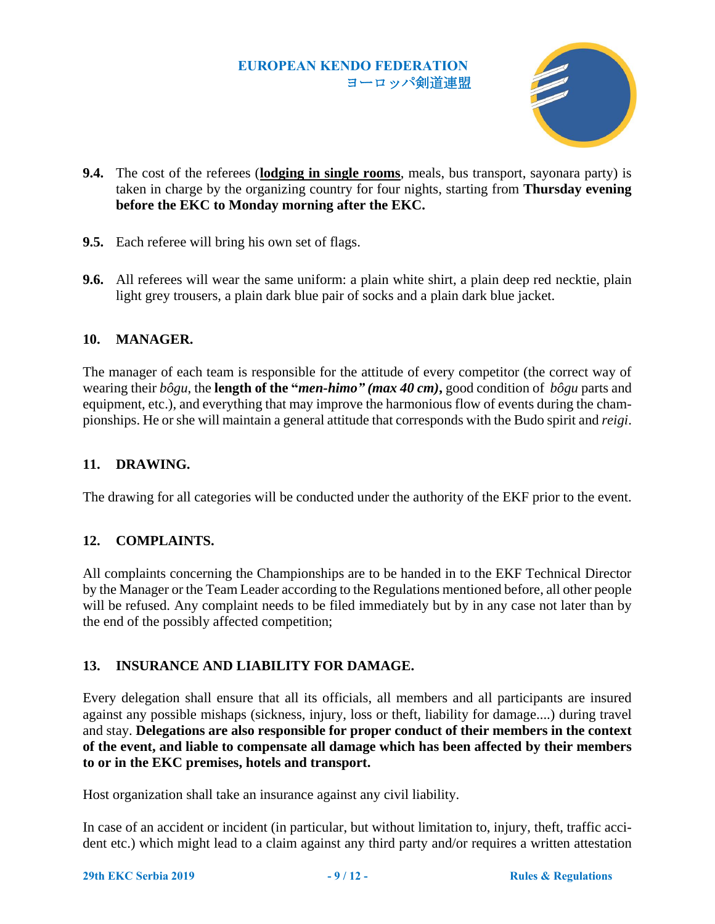

- **9.4.** The cost of the referees (**lodging in single rooms**, meals, bus transport, sayonara party) is taken in charge by the organizing country for four nights, starting from **Thursday evening before the EKC to Monday morning after the EKC.**
- **9.5.** Each referee will bring his own set of flags.
- **9.6.** All referees will wear the same uniform: a plain white shirt, a plain deep red necktie, plain light grey trousers, a plain dark blue pair of socks and a plain dark blue jacket.

#### **10. MANAGER.**

The manager of each team is responsible for the attitude of every competitor (the correct way of wearing their *bôgu*, the **length of the "***men-himo" (max 40 cm)***,** good condition of *bôgu* parts and equipment, etc.), and everything that may improve the harmonious flow of events during the championships. He or she will maintain a general attitude that corresponds with the Budo spirit and *reigi*.

#### **11. DRAWING.**

The drawing for all categories will be conducted under the authority of the EKF prior to the event.

#### **12. COMPLAINTS.**

All complaints concerning the Championships are to be handed in to the EKF Technical Director by the Manager or the Team Leader according to the Regulations mentioned before, all other people will be refused. Any complaint needs to be filed immediately but by in any case not later than by the end of the possibly affected competition;

#### **13. INSURANCE AND LIABILITY FOR DAMAGE.**

Every delegation shall ensure that all its officials, all members and all participants are insured against any possible mishaps (sickness, injury, loss or theft, liability for damage....) during travel and stay. **Delegations are also responsible for proper conduct of their members in the context of the event, and liable to compensate all damage which has been affected by their members to or in the EKC premises, hotels and transport.**

Host organization shall take an insurance against any civil liability.

In case of an accident or incident (in particular, but without limitation to, injury, theft, traffic accident etc.) which might lead to a claim against any third party and/or requires a written attestation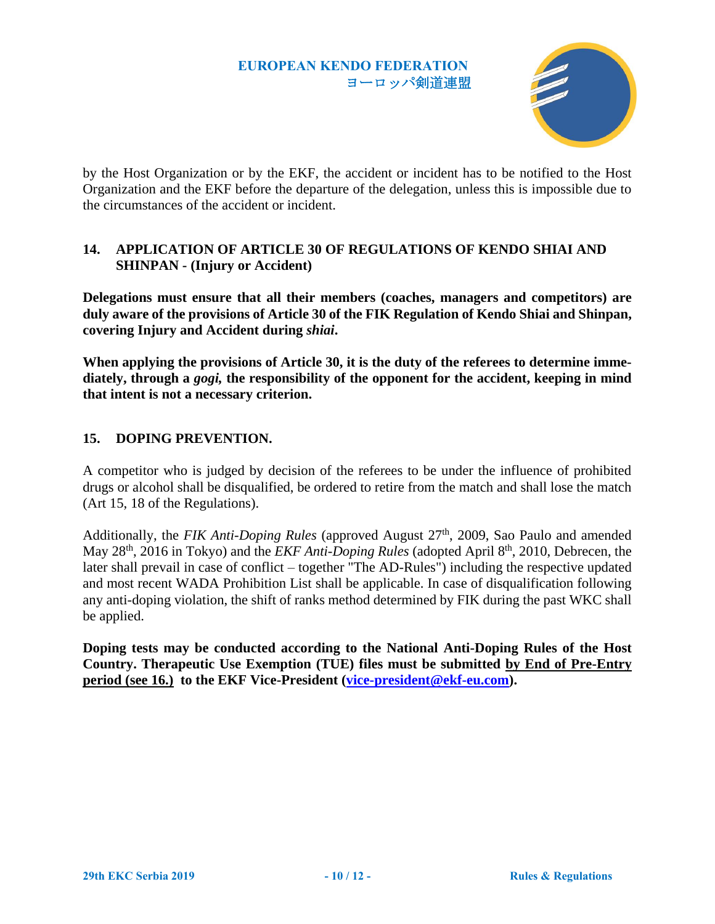

by the Host Organization or by the EKF, the accident or incident has to be notified to the Host Organization and the EKF before the departure of the delegation, unless this is impossible due to the circumstances of the accident or incident.

## **14. APPLICATION OF ARTICLE 30 OF REGULATIONS OF KENDO SHIAI AND SHINPAN - (Injury or Accident)**

**Delegations must ensure that all their members (coaches, managers and competitors) are duly aware of the provisions of Article 30 of the FIK Regulation of Kendo Shiai and Shinpan, covering Injury and Accident during** *shiai***.** 

**When applying the provisions of Article 30, it is the duty of the referees to determine immediately, through a** *gogi,* **the responsibility of the opponent for the accident, keeping in mind that intent is not a necessary criterion.**

## **15. DOPING PREVENTION.**

A competitor who is judged by decision of the referees to be under the influence of prohibited drugs or alcohol shall be disqualified, be ordered to retire from the match and shall lose the match (Art 15, 18 of the Regulations).

Additionally, the *FIK Anti-Doping Rules* (approved August 27<sup>th</sup>, 2009, Sao Paulo and amended May 28<sup>th</sup>, 2016 in Tokyo) and the *EKF Anti-Doping Rules* (adopted April 8<sup>th</sup>, 2010, Debrecen, the later shall prevail in case of conflict – together "The AD-Rules") including the respective updated and most recent WADA Prohibition List shall be applicable. In case of disqualification following any anti-doping violation, the shift of ranks method determined by FIK during the past WKC shall be applied.

**Doping tests may be conducted according to the National Anti-Doping Rules of the Host Country. Therapeutic Use Exemption (TUE) files must be submitted by End of Pre-Entry period (see 16.) to the EKF Vice-President [\(vice-president@ekf-eu.com\)](mailto:vice-president@ekf-eu.com?subject=29EKC2019BELGRADE%20-%20Anti-Doping%20-%20TUE%20-%20Request).**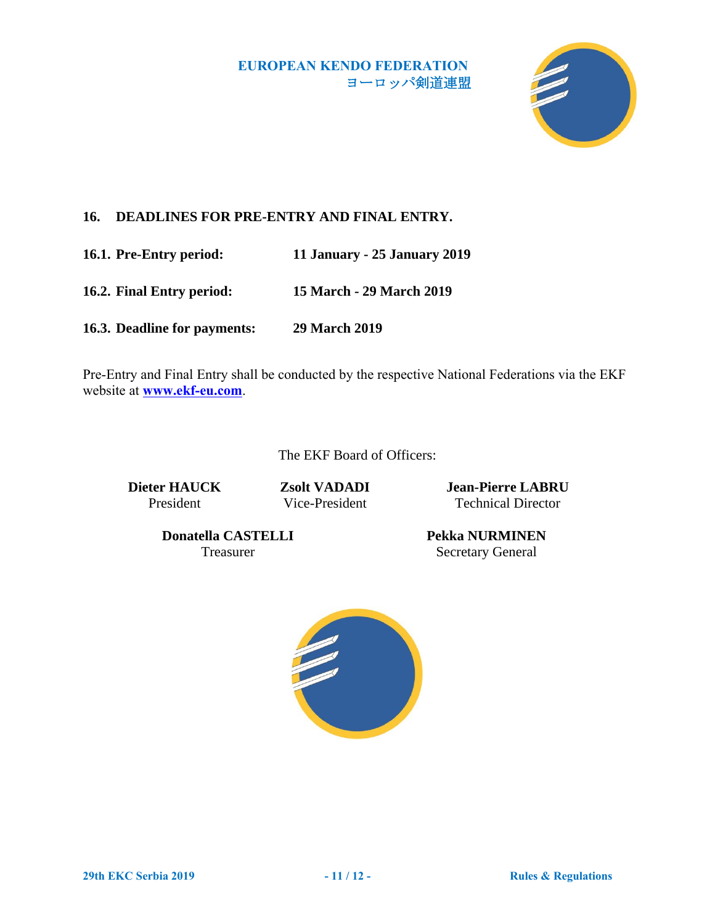

# <span id="page-10-0"></span>**16. DEADLINES FOR PRE-ENTRY AND FINAL ENTRY.**

**16.1. Pre-Entry period: 11 January - 25 January 2019**

**16.2. Final Entry period: 15 March - 29 March 2019**

**16.3. Deadline for payments: 29 March 2019**

Pre-Entry and Final Entry shall be conducted by the respective National Federations via the EKF website at **[www.ekf-eu.com](http://www.ekf-eu.com/)**.

The EKF Board of Officers:

**Dieter HAUCK** President

**Zsolt VADADI** Vice-President

**Jean-Pierre LABRU** Technical Director

**Donatella CASTELLI** Treasurer

**Pekka NURMINEN** Secretary General